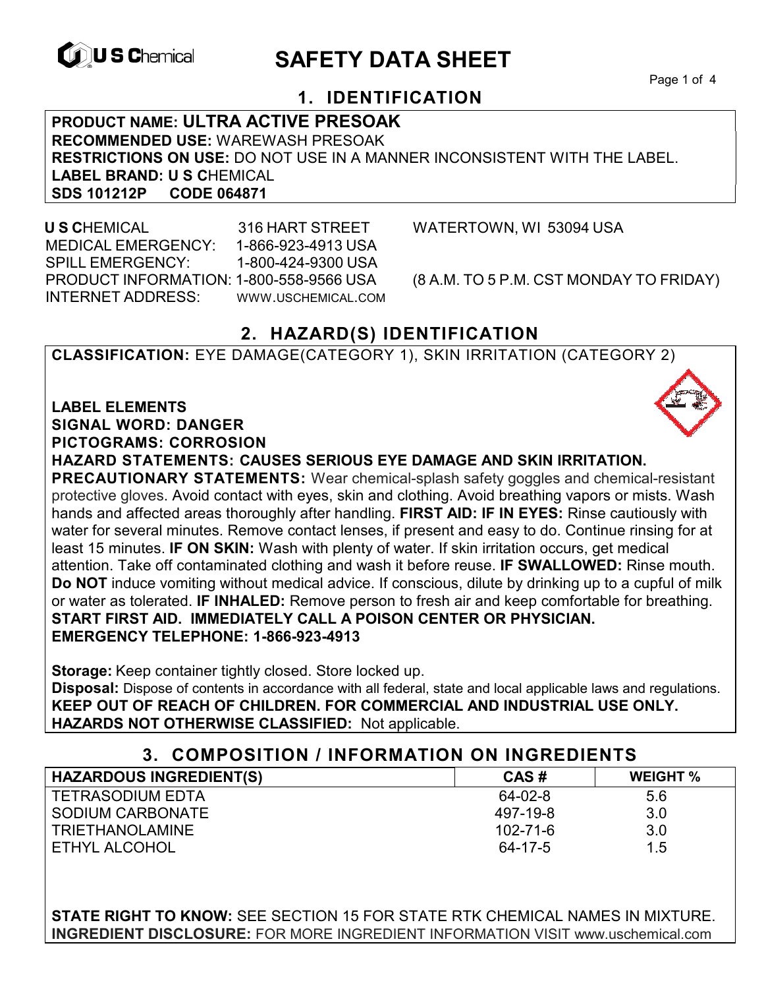

# **EXAGREM** SAFETY DATA SHEET

Page 1 of 4

## **1. IDENTIFICATION**

**PRODUCT NAME: ULTRA ACTIVE PRESOAK RECOMMENDED USE:** WAREWASH PRESOAK **RESTRICTIONS ON USE:** DO NOT USE IN A MANNER INCONSISTENT WITH THE LABEL. LABEL BRAND: U S CHEMICAL<br>SDS 101212P CODE 064871 **SDS 101212P CODE 064871** 

 **U S C**HEMICAL 316 HART STREET WATERTOWN, WI 53094 USA MEDICAL EMERGENCY: 1-866-923-4913 USA SPILL EMERGENCY: 1-800-424-9300 USA PRODUCT INFORMATION: 1-800-558-9566 USA (8 A.M. TO 5 P.M. CST MONDAY TO FRIDAY) INTERNET ADDRESS: WWW.USCHEMICAL.COM

## **2. HAZARD(S) IDENTIFICATION**

**CLASSIFICATION:** EYE DAMAGE(CATEGORY 1), SKIN IRRITATION (CATEGORY 2)

**LABEL ELEMENTS SIGNAL WORD: DANGER PICTOGRAMS: CORROSION**

**HAZARD STATEMENTS: CAUSES SERIOUS EYE DAMAGE AND SKIN IRRITATION.** 

**PRECAUTIONARY STATEMENTS:** Wear chemical-splash safety goggles and chemical-resistant protective gloves. Avoid contact with eyes, skin and clothing. Avoid breathing vapors or mists. Wash hands and affected areas thoroughly after handling. **FIRST AID: IF IN EYES:** Rinse cautiously with water for several minutes. Remove contact lenses, if present and easy to do. Continue rinsing for at least 15 minutes. **IF ON SKIN:** Wash with plenty of water. If skin irritation occurs, get medical attention. Take off contaminated clothing and wash it before reuse. **IF SWALLOWED:** Rinse mouth. **Do NOT** induce vomiting without medical advice. If conscious, dilute by drinking up to a cupful of milk or water as tolerated. **IF INHALED:** Remove person to fresh air and keep comfortable for breathing. **START FIRST AID. IMMEDIATELY CALL A POISON CENTER OR PHYSICIAN. EMERGENCY TELEPHONE: 1-866-923-4913**

**Storage:** Keep container tightly closed. Store locked up.

**Disposal:** Dispose of contents in accordance with all federal, state and local applicable laws and regulations. **KEEP OUT OF REACH OF CHILDREN. FOR COMMERCIAL AND INDUSTRIAL USE ONLY. HAZARDS NOT OTHERWISE CLASSIFIED:** Not applicable.

| 3. COMPOSITION / INFORMATION ON INGREDIENTS |                |                 |
|---------------------------------------------|----------------|-----------------|
| <b>HAZARDOUS INGREDIENT(S)</b>              | CAS#           | <b>WEIGHT %</b> |
| <b>TETRASODIUM EDTA</b>                     | 64-02-8        | 5.6             |
| SODIUM CARBONATE                            | 497-19-8       | 3.0             |
| <b>TRIETHANOLAMINE</b>                      | $102 - 71 - 6$ | 3.0             |
| ETHYL ALCOHOL                               | 64-17-5        | 1.5             |

**STATE RIGHT TO KNOW:** SEE SECTION 15 FOR STATE RTK CHEMICAL NAMES IN MIXTURE. **INGREDIENT DISCLOSURE:** FOR MORE INGREDIENT INFORMATION VISIT www.uschemical.com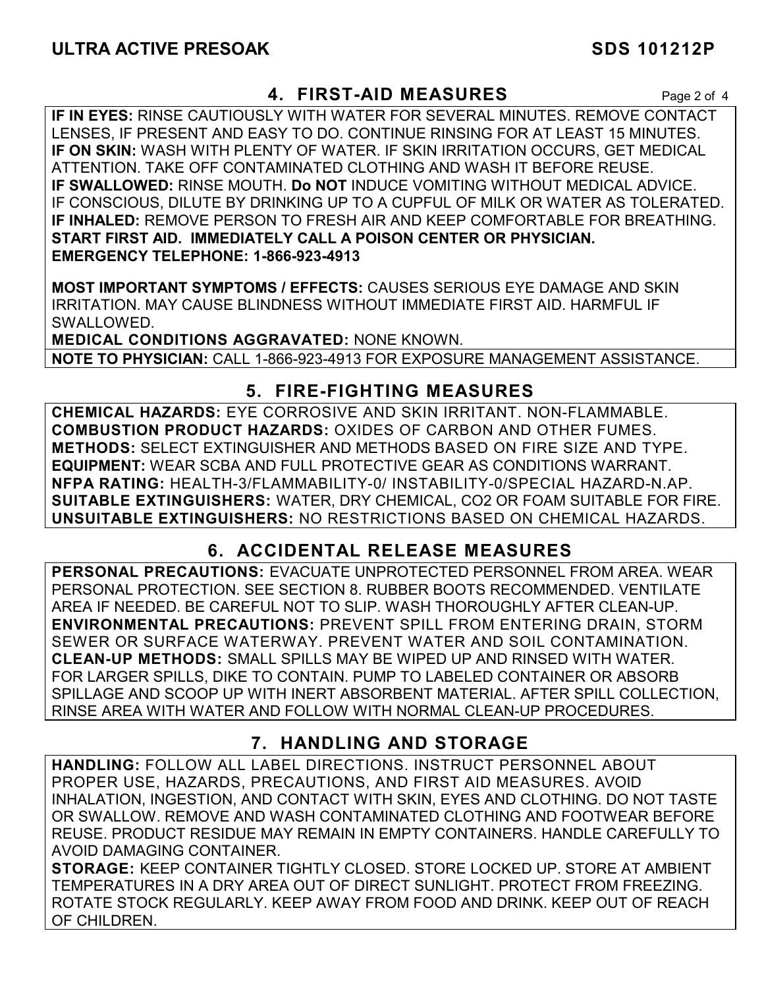## **4. FIRST-AID MEASURES** Page 2 of 4

**IF IN EYES:** RINSE CAUTIOUSLY WITH WATER FOR SEVERAL MINUTES. REMOVE CONTACT LENSES, IF PRESENT AND EASY TO DO. CONTINUE RINSING FOR AT LEAST 15 MINUTES. **IF ON SKIN:** WASH WITH PLENTY OF WATER. IF SKIN IRRITATION OCCURS, GET MEDICAL ATTENTION. TAKE OFF CONTAMINATED CLOTHING AND WASH IT BEFORE REUSE. **IF SWALLOWED:** RINSE MOUTH. **Do NOT** INDUCE VOMITING WITHOUT MEDICAL ADVICE. IF CONSCIOUS, DILUTE BY DRINKING UP TO A CUPFUL OF MILK OR WATER AS TOLERATED. **IF INHALED:** REMOVE PERSON TO FRESH AIR AND KEEP COMFORTABLE FOR BREATHING. **START FIRST AID. IMMEDIATELY CALL A POISON CENTER OR PHYSICIAN. EMERGENCY TELEPHONE: 1-866-923-4913**

**MOST IMPORTANT SYMPTOMS / EFFECTS:** CAUSES SERIOUS EYE DAMAGE AND SKIN IRRITATION. MAY CAUSE BLINDNESS WITHOUT IMMEDIATE FIRST AID. HARMFUL IF SWALLOWED.

**MEDICAL CONDITIONS AGGRAVATED:** NONE KNOWN. **NOTE TO PHYSICIAN:** CALL 1-866-923-4913 FOR EXPOSURE MANAGEMENT ASSISTANCE.

## **5. FIRE-FIGHTING MEASURES**

**CHEMICAL HAZARDS:** EYE CORROSIVE AND SKIN IRRITANT. NON-FLAMMABLE. **COMBUSTION PRODUCT HAZARDS:** OXIDES OF CARBON AND OTHER FUMES. **METHODS:** SELECT EXTINGUISHER AND METHODS BASED ON FIRE SIZE AND TYPE. **EQUIPMENT:** WEAR SCBA AND FULL PROTECTIVE GEAR AS CONDITIONS WARRANT. **NFPA RATING:** HEALTH-3/FLAMMABILITY-0/ INSTABILITY-0/SPECIAL HAZARD-N.AP. **SUITABLE EXTINGUISHERS:** WATER, DRY CHEMICAL, CO2 OR FOAM SUITABLE FOR FIRE. **UNSUITABLE EXTINGUISHERS:** NO RESTRICTIONS BASED ON CHEMICAL HAZARDS.

## **6. ACCIDENTAL RELEASE MEASURES**

**PERSONAL PRECAUTIONS:** EVACUATE UNPROTECTED PERSONNEL FROM AREA. WEAR PERSONAL PROTECTION. SEE SECTION 8. RUBBER BOOTS RECOMMENDED. VENTILATE AREA IF NEEDED. BE CAREFUL NOT TO SLIP. WASH THOROUGHLY AFTER CLEAN-UP. **ENVIRONMENTAL PRECAUTIONS:** PREVENT SPILL FROM ENTERING DRAIN, STORM SEWER OR SURFACE WATERWAY. PREVENT WATER AND SOIL CONTAMINATION. **CLEAN-UP METHODS:** SMALL SPILLS MAY BE WIPED UP AND RINSED WITH WATER. FOR LARGER SPILLS, DIKE TO CONTAIN. PUMP TO LABELED CONTAINER OR ABSORB SPILLAGE AND SCOOP UP WITH INERT ABSORBENT MATERIAL. AFTER SPILL COLLECTION, RINSE AREA WITH WATER AND FOLLOW WITH NORMAL CLEAN-UP PROCEDURES.

## **7. HANDLING AND STORAGE**

**HANDLING:** FOLLOW ALL LABEL DIRECTIONS. INSTRUCT PERSONNEL ABOUT PROPER USE, HAZARDS, PRECAUTIONS, AND FIRST AID MEASURES. AVOID INHALATION, INGESTION, AND CONTACT WITH SKIN, EYES AND CLOTHING. DO NOT TASTE OR SWALLOW. REMOVE AND WASH CONTAMINATED CLOTHING AND FOOTWEAR BEFORE REUSE. PRODUCT RESIDUE MAY REMAIN IN EMPTY CONTAINERS. HANDLE CAREFULLY TO AVOID DAMAGING CONTAINER.

**STORAGE:** KEEP CONTAINER TIGHTLY CLOSED. STORE LOCKED UP. STORE AT AMBIENT TEMPERATURES IN A DRY AREA OUT OF DIRECT SUNLIGHT. PROTECT FROM FREEZING. ROTATE STOCK REGULARLY. KEEP AWAY FROM FOOD AND DRINK. KEEP OUT OF REACH OF CHILDREN.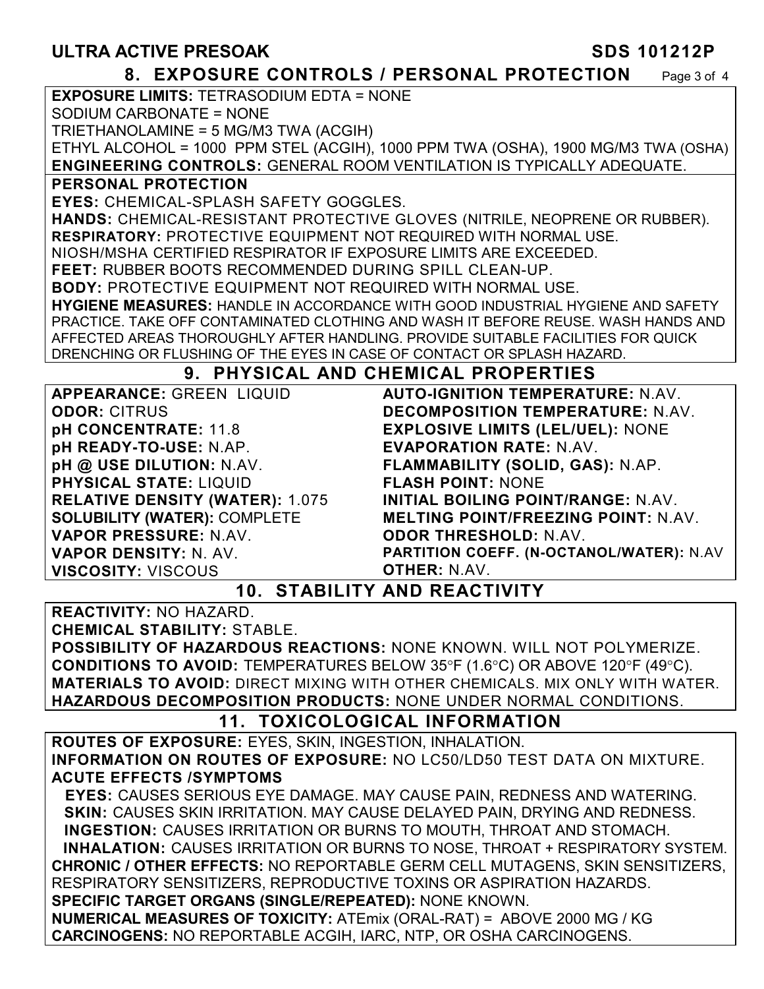## ULTRA ACTIVE PRESOAK SDS 101212P

#### **8. EXPOSURE CONTROLS / PERSONAL PROTECTION** Page 3 of 4

**EXPOSURE LIMITS:** TETRASODIUM EDTA = NONE

SODIUM CARBONATE = NONE

TRIETHANOLAMINE = 5 MG/M3 TWA (ACGIH)

ETHYL ALCOHOL = 1000 PPM STEL (ACGIH), 1000 PPM TWA (OSHA), 1900 MG/M3 TWA (OSHA) **ENGINEERING CONTROLS:** GENERAL ROOM VENTILATION IS TYPICALLY ADEQUATE.

**PERSONAL PROTECTION** 

**EYES:** CHEMICAL-SPLASH SAFETY GOGGLES.

**HANDS:** CHEMICAL-RESISTANT PROTECTIVE GLOVES (NITRILE, NEOPRENE OR RUBBER). **RESPIRATORY:** PROTECTIVE EQUIPMENT NOT REQUIRED WITH NORMAL USE.

NIOSH/MSHA CERTIFIED RESPIRATOR IF EXPOSURE LIMITS ARE EXCEEDED.

**FEET:** RUBBER BOOTS RECOMMENDED DURING SPILL CLEAN-UP.

**BODY:** PROTECTIVE EQUIPMENT NOT REQUIRED WITH NORMAL USE.

**HYGIENE MEASURES:** HANDLE IN ACCORDANCE WITH GOOD INDUSTRIAL HYGIENE AND SAFETY PRACTICE. TAKE OFF CONTAMINATED CLOTHING AND WASH IT BEFORE REUSE. WASH HANDS AND AFFECTED AREAS THOROUGHLY AFTER HANDLING. PROVIDE SUITABLE FACILITIES FOR QUICK DRENCHING OR FLUSHING OF THE EYES IN CASE OF CONTACT OR SPLASH HAZARD.

#### **9. PHYSICAL AND CHEMICAL PROPERTIES**

**APPEARANCE:** GREEN LIQUID **ODOR:** CITRUS **pH CONCENTRATE:** 11.8 **pH READY-TO-USE:** N.AP. **pH @ USE DILUTION:** N.AV. **PHYSICAL STATE:** LIQUID **RELATIVE DENSITY (WATER):** 1.075 **SOLUBILITY (WATER):** COMPLETE **VAPOR PRESSURE:** N.AV. **VAPOR DENSITY:** N. AV. **VISCOSITY:** VISCOUS

**AUTO-IGNITION TEMPERATURE:** N.AV. **DECOMPOSITION TEMPERATURE:** N.AV. **EXPLOSIVE LIMITS (LEL/UEL):** NONE **EVAPORATION RATE:** N.AV. **FLAMMABILITY (SOLID, GAS):** N.AP. **FLASH POINT:** NONE **INITIAL BOILING POINT/RANGE:** N.AV. **MELTING POINT/FREEZING POINT:** N.AV. **ODOR THRESHOLD:** N.AV. **PARTITION COEFF. (N-OCTANOL/WATER):** N.AV **OTHER:** N.AV.

## **10. STABILITY AND REACTIVITY**

**REACTIVITY:** NO HAZARD.

**CHEMICAL STABILITY:** STABLE.

**POSSIBILITY OF HAZARDOUS REACTIONS:** NONE KNOWN. WILL NOT POLYMERIZE. **CONDITIONS TO AVOID:** TEMPERATURES BELOW 35°F (1.6°C) OR ABOVE 120°F (49°C). **MATERIALS TO AVOID:** DIRECT MIXING WITH OTHER CHEMICALS. MIX ONLY WITH WATER. **HAZARDOUS DECOMPOSITION PRODUCTS:** NONE UNDER NORMAL CONDITIONS.

## **11. TOXICOLOGICAL INFORMATION**

**ROUTES OF EXPOSURE:** EYES, SKIN, INGESTION, INHALATION. **INFORMATION ON ROUTES OF EXPOSURE:** NO LC50/LD50 TEST DATA ON MIXTURE. **ACUTE EFFECTS /SYMPTOMS**

 **EYES:** CAUSES SERIOUS EYE DAMAGE. MAY CAUSE PAIN, REDNESS AND WATERING. **SKIN:** CAUSES SKIN IRRITATION. MAY CAUSE DELAYED PAIN, DRYING AND REDNESS. **INGESTION:** CAUSES IRRITATION OR BURNS TO MOUTH, THROAT AND STOMACH. **INHALATION:** CAUSES IRRITATION OR BURNS TO NOSE, THROAT + RESPIRATORY SYSTEM. **CHRONIC / OTHER EFFECTS:** NO REPORTABLE GERM CELL MUTAGENS, SKIN SENSITIZERS, RESPIRATORY SENSITIZERS, REPRODUCTIVE TOXINS OR ASPIRATION HAZARDS. **SPECIFIC TARGET ORGANS (SINGLE/REPEATED):** NONE KNOWN. **NUMERICAL MEASURES OF TOXICITY:** ATEmix (ORAL-RAT) = ABOVE 2000 MG / KG **CARCINOGENS:** NO REPORTABLE ACGIH, IARC, NTP, OR OSHA CARCINOGENS.